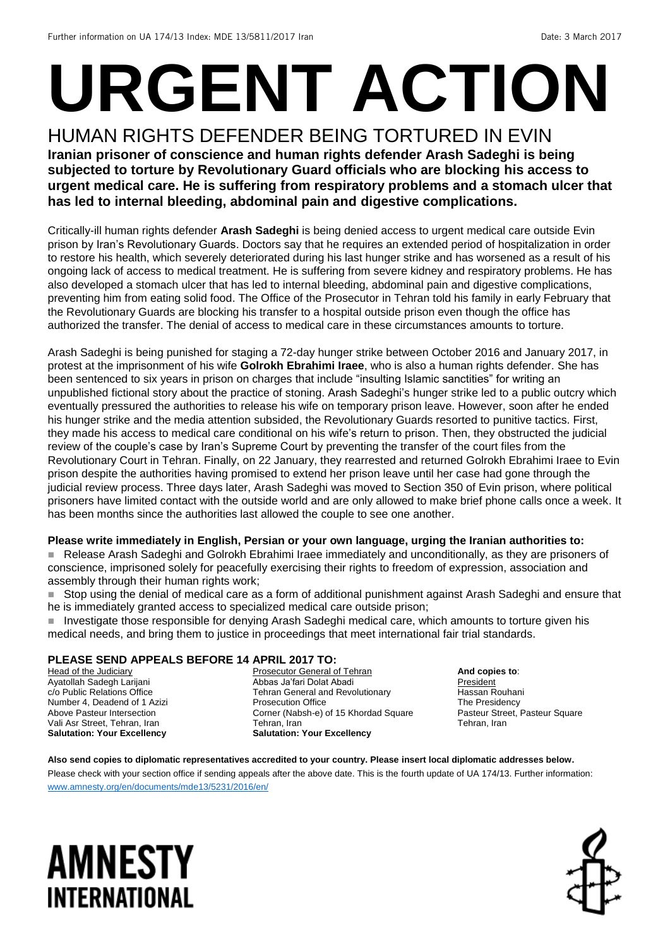# **URGENT ACTION**

HUMAN RIGHTS DEFENDER BEING TORTURED IN EVIN **Iranian prisoner of conscience and human rights defender Arash Sadeghi is being subjected to torture by Revolutionary Guard officials who are blocking his access to urgent medical care. He is suffering from respiratory problems and a stomach ulcer that has led to internal bleeding, abdominal pain and digestive complications.** 

Critically-ill human rights defender **Arash Sadeghi** is being denied access to urgent medical care outside Evin prison by Iran's Revolutionary Guards. Doctors say that he requires an extended period of hospitalization in order to restore his health, which severely deteriorated during his last hunger strike and has worsened as a result of his ongoing lack of access to medical treatment. He is suffering from severe kidney and respiratory problems. He has also developed a stomach ulcer that has led to internal bleeding, abdominal pain and digestive complications, preventing him from eating solid food. The Office of the Prosecutor in Tehran told his family in early February that the Revolutionary Guards are blocking his transfer to a hospital outside prison even though the office has authorized the transfer. The denial of access to medical care in these circumstances amounts to torture.

Arash Sadeghi is being punished for staging a 72-day hunger strike between October 2016 and January 2017, in protest at the imprisonment of his wife **Golrokh Ebrahimi Iraee**, who is also a human rights defender. She has been sentenced to six years in prison on charges that include "insulting Islamic sanctities" for writing an unpublished fictional story about the practice of stoning. Arash Sadeghi's hunger strike led to a public outcry which eventually pressured the authorities to release his wife on temporary prison leave. However, soon after he ended his hunger strike and the media attention subsided, the Revolutionary Guards resorted to punitive tactics. First, they made his access to medical care conditional on his wife's return to prison. Then, they obstructed the judicial review of the couple's case by Iran's Supreme Court by preventing the transfer of the court files from the Revolutionary Court in Tehran. Finally, on 22 January, they rearrested and returned Golrokh Ebrahimi Iraee to Evin prison despite the authorities having promised to extend her prison leave until her case had gone through the judicial review process. Three days later, Arash Sadeghi was moved to Section 350 of Evin prison, where political prisoners have limited contact with the outside world and are only allowed to make brief phone calls once a week. It has been months since the authorities last allowed the couple to see one another.

#### **Please write immediately in English, Persian or your own language, urging the Iranian authorities to:**

 Release Arash Sadeghi and Golrokh Ebrahimi Iraee immediately and unconditionally, as they are prisoners of conscience, imprisoned solely for peacefully exercising their rights to freedom of expression, association and assembly through their human rights work;

 Stop using the denial of medical care as a form of additional punishment against Arash Sadeghi and ensure that he is immediately granted access to specialized medical care outside prison;

**Investigate those responsible for denying Arash Sadeghi medical care, which amounts to torture given his** medical needs, and bring them to justice in proceedings that meet international fair trial standards.

### **PLEASE SEND APPEALS BEFORE 14 APRIL 2017 TO:**

Head of the Judiciary Ayatollah Sadegh Larijani c/o Public Relations Office Number 4, Deadend of 1 Azizi Above Pasteur Intersection Vali Asr Street, Tehran, Iran **Salutation: Your Excellency**

Prosecutor General of Tehran Abbas Ja'fari Dolat Abadi Tehran General and Revolutionary Prosecution Office Corner (Nabsh-e) of 15 Khordad Square Tehran, Iran **Salutation: Your Excellency**

**And copies to**: President Hassan Rouhani The Presidency Pasteur Street, Pasteur Square Tehran, Iran

**Also send copies to diplomatic representatives accredited to your country. Please insert local diplomatic addresses below.** Please check with your section office if sending appeals after the above date. This is the fourth update of UA 174/13. Further information: [www.amnesty.org/en/documents/mde13/5231/2016/en/](http://www.amnesty.org/en/documents/mde13/5231/2016/en/)